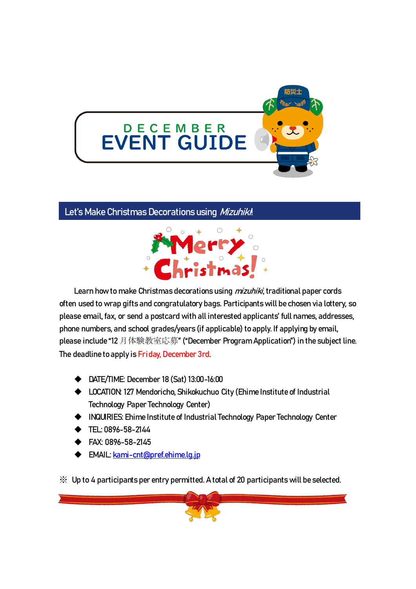

# Let's Make Christmas Decorations using Mizuhiki!



Learn how to make Christmas decorations using *mizuhiki*, traditional paper cords often used to wrap gifts and congratulatory bags. Participants will be chosen via lottery, so please email, fax, or send a postcard with all interested applicants' full names, addresses, phone numbers, and school grades/years (if applicable) to apply. If applying by email, please include "12 月体験教室応募" ("December Program Application") in the subject line. The deadline to apply is Friday, December 3rd.

- ◆ DATE/TIME: December 18 (Sat) 13:00-16:00
- ◆ LOCATION: 127 Mendoricho, Shikokuchuo City (Ehime Institute of Industrial Technology Paper Technology Center)
- ◆ INQUIRIES: Ehime Institute of Industrial Technology Paper Technology Center
- ◆ TEL: 0896-58-2144
- ◆ FAX: 0896-58-2145
- ◆ EMAIL[: kami-cnt@pref.ehime.lg.jp](mailto:kami-cnt@pref.ehime.lg.jp)

※ Up to 4 participants per entry permitted. A total of 20 participants will be selected.

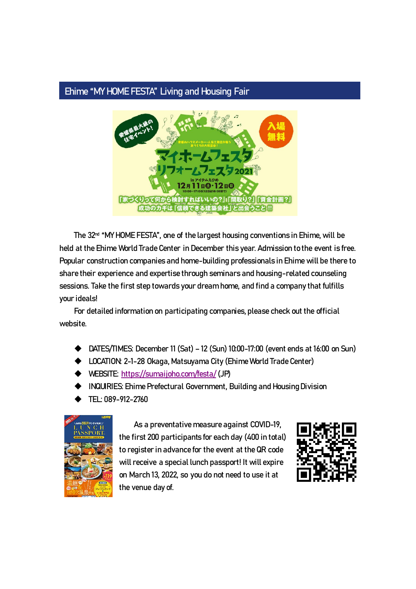### Ehime "MY HOME FESTA" Living and Housing Fair



The 32<sup>nd</sup> "MY HOME FESTA", one of the largest housing conventions in Ehime, will be held at the Ehime World Trade Center in December this year. Admission to the event is free. Popular construction companies and home-building professionals in Ehime will be there to share their experience and expertise through seminars and housing-related counseling sessions. Take the first step towards your dream home, and find a company that fulfills your ideals!

For detailed information on participating companies, please check out the official website.

- ◆ DATES/TIMES: December 11 (Sat) 12 (Sun) 10:00-17:00 (event ends at 16:00 on Sun)
- ◆ LOCATION: 2-1-28 Okaga, Matsuyama City (Ehime World Trade Center)
- ◆ WEBSITE:<https://sumaijoho.com/festa/> (JP)
- **INQUIRIES: Ehime Prefectural Government, Building and Housing Division**
- ◆ TEL: 089-912-2760



As a preventative measure against COVID-19, the first 200 participants for each day (400 in total) to register in advance for the event at the QR code will receive a special lunch passport! It will expire on March 13, 2022, so you do not need to use it at the venue day of.

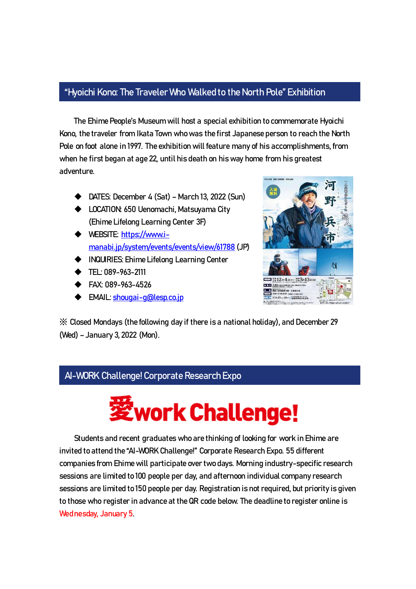### "Hyoichi Kono: The Traveler Who Walked to the North Pole" Exhibition

The Ehime People's Museum will host a special exhibition to commemorate Hyoichi Kono, the traveler from Ikata Town who was the first Japanese person to reach the North Pole on foot alone in 1997. The exhibition will feature many of his accomplishments, from when he first began at age 22, until his death on his way home from his greatest adventure.

- ◆ DATES: December 4 (Sat) March 13, 2022 (Sun)
- ◆ LOCATION: 650 Uenomachi, Matsuyama City (Ehime Lifelong Learning Center 3F)
- ◆ WEBSITE: [https://www.i](https://www.i-manabi.jp/system/events/events/view/61788)[manabi.jp/system/events/events/view/61788](https://www.i-manabi.jp/system/events/events/view/61788) (JP)
- ◆ INQUIRIES: Ehime Lifelong Learning Center
- ◆ TEL: 089-963-2111

-

- ◆ FAX: 089-963-4526
- ◆ EMAIL[: shougai-g@lesp.co.jp](mailto:shougai-g@lesp.co.jp)



※ Closed Mondays (the following day if there is a national holiday), and December 29 (Wed) – January 3, 2022 (Mon).

# AI-WORK Challenge! Corporate Research Expo



Students and recent graduates who are thinking of looking for work in Ehime are invited to attend the "AI-WORK Challenge!" Corporate Research Expo. 55 different companies from Ehime will participate over two days. Morning industry-specific research sessions are limited to 100 people per day, and afternoon individual company research sessions are limited to 150 people per day. Registration is not required, but priority is given to those who register in advance at the QR code below. The deadline to register online is Wednesday, January 5.